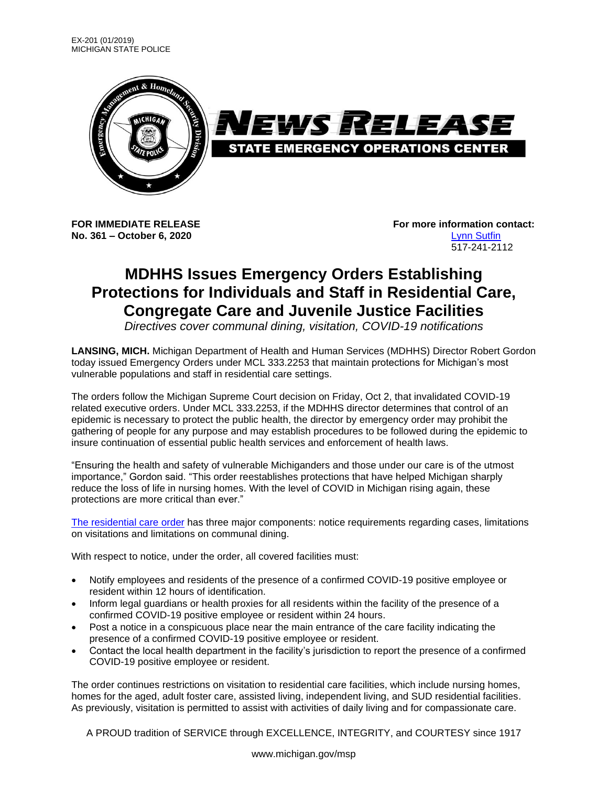

**No. 361 – October 6, 2020** [Lynn Sutfin](mailto:Sutfinl1@Michigan.gov)

**FOR IMMEDIATE RELEASE For more information contact:** 517-241-2112

## **MDHHS Issues Emergency Orders Establishing Protections for Individuals and Staff in Residential Care, Congregate Care and Juvenile Justice Facilities**

*Directives cover communal dining, visitation, COVID-19 notifications*

**LANSING, MICH.** Michigan Department of Health and Human Services (MDHHS) Director Robert Gordon today issued Emergency Orders under MCL 333.2253 that maintain protections for Michigan's most vulnerable populations and staff in residential care settings.

The orders follow the Michigan Supreme Court decision on Friday, Oct 2, that invalidated COVID-19 related executive orders. Under MCL 333.2253, if the MDHHS director determines that control of an epidemic is necessary to protect the public health, the director by emergency order may prohibit the gathering of people for any purpose and may establish procedures to be followed during the epidemic to insure continuation of essential public health services and enforcement of health laws.

"Ensuring the health and safety of vulnerable Michiganders and those under our care is of the utmost importance," Gordon said. "This order reestablishes protections that have helped Michigan sharply reduce the loss of life in nursing homes. With the level of COVID in Michigan rising again, these protections are more critical than ever."

The [residential care](https://www.michigan.gov/documents/coronavirus/Final_MDHHS_residential_care_epidemic_order_10.6.2020_704356_7.pdf) order has three major components: notice requirements regarding cases, limitations on visitations and limitations on communal dining.

With respect to notice, under the order, all covered facilities must:

- Notify employees and residents of the presence of a confirmed COVID-19 positive employee or resident within 12 hours of identification.
- Inform legal guardians or health proxies for all residents within the facility of the presence of a confirmed COVID-19 positive employee or resident within 24 hours.
- Post a notice in a conspicuous place near the main entrance of the care facility indicating the presence of a confirmed COVID-19 positive employee or resident.
- Contact the local health department in the facility's jurisdiction to report the presence of a confirmed COVID-19 positive employee or resident.

The order continues restrictions on visitation to residential care facilities, which include nursing homes, homes for the aged, adult foster care, assisted living, independent living, and SUD residential facilities. As previously, visitation is permitted to assist with activities of daily living and for compassionate care.

A PROUD tradition of SERVICE through EXCELLENCE, INTEGRITY, and COURTESY since 1917